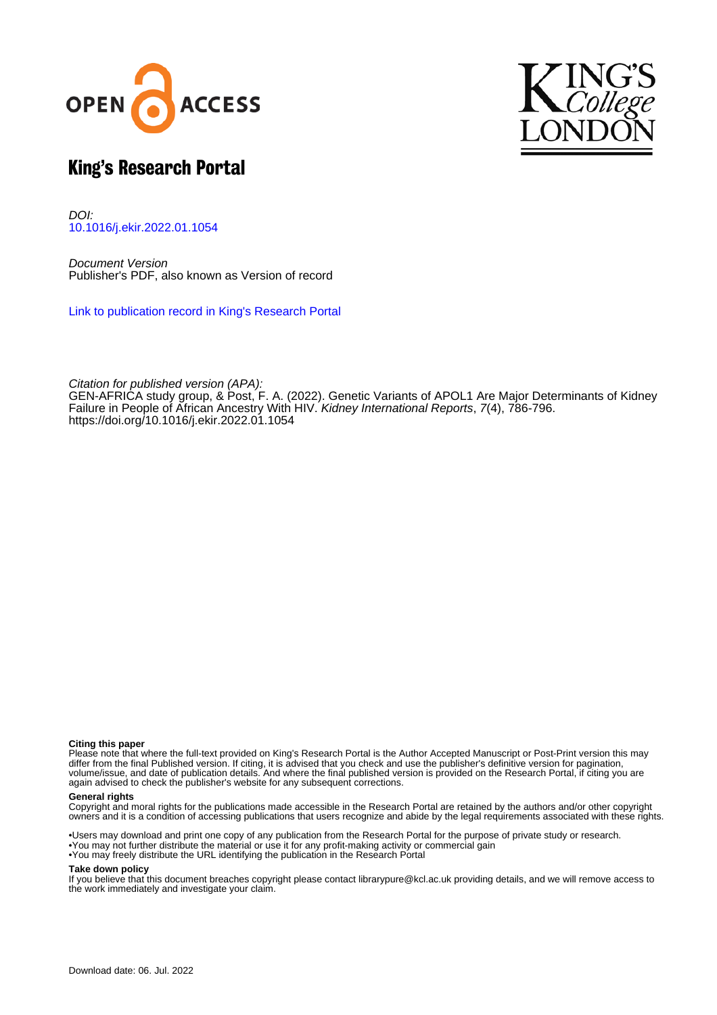



# King's Research Portal

DOI: [10.1016/j.ekir.2022.01.1054](https://doi.org/10.1016/j.ekir.2022.01.1054)

Document Version Publisher's PDF, also known as Version of record

[Link to publication record in King's Research Portal](https://kclpure.kcl.ac.uk/portal/en/publications/genetic-variants-of-apol1-are-major-determinants-of-kidney-failure-in-people-of-african-ancestry-with-hiv(fd6bad41-e5c3-487b-89c1-6b78ba8d81a9).html)

Citation for published version (APA): GEN-AFRICA study group[, & Post, F. A.](https://kclpure.kcl.ac.uk/portal/en/persons/frank-post(9d75c4cb-47a3-483b-9d54-5167feca965b).html) (2022). [Genetic Variants of APOL1 Are Major Determinants of Kidney](https://kclpure.kcl.ac.uk/portal/en/publications/genetic-variants-of-apol1-are-major-determinants-of-kidney-failure-in-people-of-african-ancestry-with-hiv(fd6bad41-e5c3-487b-89c1-6b78ba8d81a9).html) [Failure in People of African Ancestry With HIV.](https://kclpure.kcl.ac.uk/portal/en/publications/genetic-variants-of-apol1-are-major-determinants-of-kidney-failure-in-people-of-african-ancestry-with-hiv(fd6bad41-e5c3-487b-89c1-6b78ba8d81a9).html) [Kidney International Reports](https://kclpure.kcl.ac.uk/portal/en/journals/kidney-international-reports(e00c6c06-8ae9-4b04-8fb8-64b6de7f9156).html), 7(4), 786-796. <https://doi.org/10.1016/j.ekir.2022.01.1054>

#### **Citing this paper**

Please note that where the full-text provided on King's Research Portal is the Author Accepted Manuscript or Post-Print version this may differ from the final Published version. If citing, it is advised that you check and use the publisher's definitive version for pagination, volume/issue, and date of publication details. And where the final published version is provided on the Research Portal, if citing you are again advised to check the publisher's website for any subsequent corrections.

#### **General rights**

Copyright and moral rights for the publications made accessible in the Research Portal are retained by the authors and/or other copyright owners and it is a condition of accessing publications that users recognize and abide by the legal requirements associated with these rights.

•Users may download and print one copy of any publication from the Research Portal for the purpose of private study or research. •You may not further distribute the material or use it for any profit-making activity or commercial gain •You may freely distribute the URL identifying the publication in the Research Portal

#### **Take down policy**

If you believe that this document breaches copyright please contact librarypure@kcl.ac.uk providing details, and we will remove access to the work immediately and investigate your claim.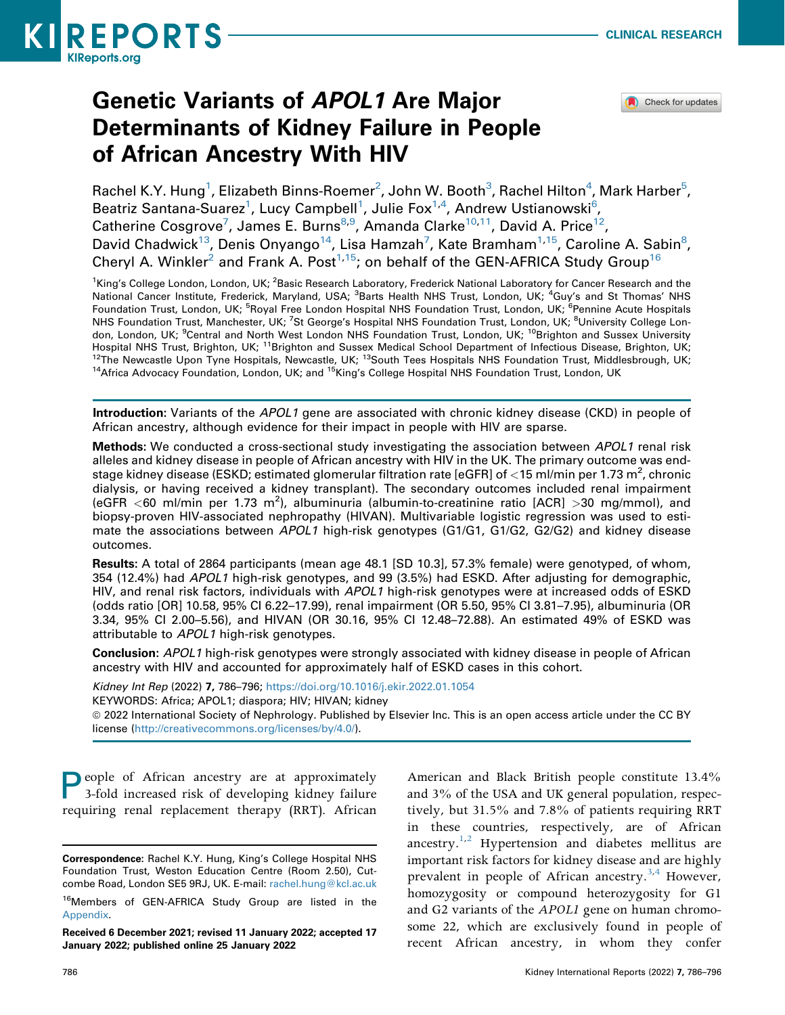

# Genetic Variants of APOL1 Are Major Determinants of Kidney Failure in People of African Ancestry With HIV



Rachel K.Y. Hung $^1$ , Elizabeth Binns-Roemer $^2$  $^2$ , John W. Booth $^3$ , Rachel Hilton $^4$  $^4$ , Mark Harber $^5$  $^5$ , Beatriz Santana-Suarez<sup>[1](#page-1-0)</sup>, Lucy Campbell<sup>1</sup>, Julie Fox<sup>[1,](#page-1-0)[4](#page-1-1)</sup>, Andrew Ustianowski<sup>6</sup>, Catherine Cosgrove<sup>[7](#page-1-3)</sup>, James E. Burns<sup>[8](#page-1-3),[9](#page-1-4)</sup>, Amanda Clarke<sup>[10](#page-1-4)[,11](#page-1-5)</sup>, David A. Price<sup>12</sup>, David Chadwick<sup>13</sup>, Denis Onyango<sup>14</sup>, Lisa Hamzah<sup>[7](#page-1-3)</sup>, Kate Bramham<sup>1,15</sup>, Caroline A. Sabin<sup>8</sup>, Cheryl A. Winkler<sup>2</sup> and Frank A. Post<sup>1,[15](#page-1-7)</sup>; on behalf of the GEN-AFRICA Study Group<sup>[16](#page-1-8)</sup>

<span id="page-1-5"></span><span id="page-1-4"></span><span id="page-1-3"></span><span id="page-1-2"></span><span id="page-1-1"></span><span id="page-1-0"></span><sup>1</sup>King's College London, London, UK; <sup>2</sup>Basic Research Laboratory, Frederick National Laboratory for Cancer Research and the National Cancer Institute, Frederick, Maryland, USA; <sup>3</sup>Barts Health NHS Trust, London, UK; <sup>4</sup>Guy's and St Thomas' NHS Foundation Trust, London, UK; <sup>5</sup>Royal Free London Hospital NHS Foundation Trust, London, UK; <sup>6</sup>Pennine Acute Hospitals NHS Foundation Trust, Manchester, UK; <sup>7</sup>St George's Hospital NHS Foundation Trust, London, UK; <sup>8</sup>University College London, London, UK; <sup>9</sup>Central and North West London NHS Foundation Trust, London, UK; <sup>10</sup>Brighton and Sussex University Hospital NHS Trust, Brighton, UK; <sup>11</sup>Brighton and Sussex Medical School Department of Infectious Disease, Brighton, UK;<br><sup>12</sup>The Newcastle Upon Tyne Hospitals, Newcastle, UK; <sup>13</sup>South Tees Hospitals NHS Foundation Trust, <sup>14</sup>Africa Advocacy Foundation, London, UK; and <sup>15</sup>King's College Hospital NHS Foundation Trust, London, UK

<span id="page-1-7"></span><span id="page-1-6"></span>Introduction: Variants of the APOL1 gene are associated with chronic kidney disease (CKD) in people of African ancestry, although evidence for their impact in people with HIV are sparse.

**Methods:** We conducted a cross-sectional study investigating the association between APOL1 renal risk alleles and kidney disease in people of African ancestry with HIV in the UK. The primary outcome was endstage kidney disease (ESKD; estimated glomerular filtration rate [eGFR] of  $<$  15 ml/min per 1.73 m<sup>2</sup>, chronic dialysis, or having received a kidney transplant). The secondary outcomes included renal impairment (eGFR <60 ml/min per 1.73 m<sup>2</sup>), albuminuria (albumin-to-creatinine ratio [ACR] >30 mg/mmol), and biopsy-proven HIV-associated nephropathy (HIVAN). Multivariable logistic regression was used to estimate the associations between APOL1 high-risk genotypes (G1/G1, G1/G2, G2/G2) and kidney disease outcomes.

Results: A total of 2864 participants (mean age 48.1 [SD 10.3], 57.3% female) were genotyped, of whom, 354 (12.4%) had APOL1 high-risk genotypes, and 99 (3.5%) had ESKD. After adjusting for demographic, HIV, and renal risk factors, individuals with APOL1 high-risk genotypes were at increased odds of ESKD (odds ratio [OR] 10.58, 95% CI 6.22–17.99), renal impairment (OR 5.50, 95% CI 3.81–7.95), albuminuria (OR 3.34, 95% CI 2.00–5.56), and HIVAN (OR 30.16, 95% CI 12.48–72.88). An estimated 49% of ESKD was attributable to APOL1 high-risk genotypes.

Conclusion: APOL1 high-risk genotypes were strongly associated with kidney disease in people of African ancestry with HIV and accounted for approximately half of ESKD cases in this cohort.

Kidney Int Rep (2022) 7, 786–796; <https://doi.org/10.1016/j.ekir.2022.01.1054>

KEYWORDS: Africa; APOL1; diaspora; HIV; HIVAN; kidney

ª 2022 International Society of Nephrology. Published by Elsevier Inc. This is an open access article under the CC BY license [\(http://creativecommons.org/licenses/by/4.0/\)](http://creativecommons.org/licenses/by/4.0/).

People of African ancestry are at approximately 3-fold increased risk of developing kidney failure requiring renal replacement therapy (RRT). African

American and Black British people constitute 13.4% and 3% of the USA and UK general population, respectively, but 31.5% and 7.8% of patients requiring RRT in these countries, respectively, are of African ancestry.<sup>[1](#page-10-0)[,2](#page-10-1)</sup> Hypertension and diabetes mellitus are important risk factors for kidney disease and are highly prevalent in people of African ancestry.<sup>[3,](#page-10-2)[4](#page-10-3)</sup> However, homozygosity or compound heterozygosity for G1 and G2 variants of the APOL1 gene on human chromosome 22, which are exclusively found in people of recent African ancestry, in whom they confer

Correspondence: Rachel K.Y. Hung, King's College Hospital NHS Foundation Trust, Weston Education Centre (Room 2.50), Cutcombe Road, London SE5 9RJ, UK. E-mail: [rachel.hung@kcl.ac.uk](mailto:rachel.hung@kcl.ac.uk)

<span id="page-1-8"></span><sup>&</sup>lt;sup>16</sup>Members of GEN-AFRICA Study Group are listed in the Appendix.

Received 6 December 2021; revised 11 January 2022; accepted 17 January 2022; published online 25 January 2022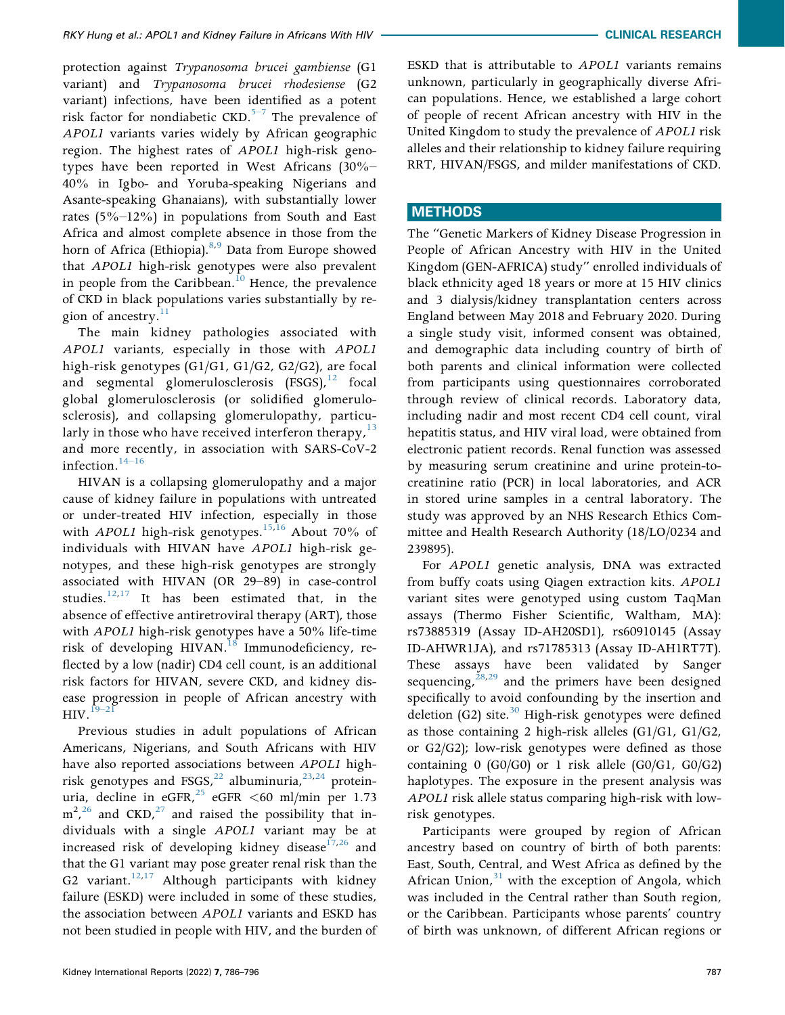protection against Trypanosoma brucei gambiense (G1 variant) and Trypanosoma brucei rhodesiense (G2 variant) infections, have been [iden](#page-10-4)tified as a potent risk factor for nondiabetic  $CKD$ .<sup>5–7</sup> The prevalence of APOL1 variants varies widely by African geographic region. The highest rates of APOL1 high-risk genotypes have been reported in West Africans (30%– 40% in Igbo- and Yoruba-speaking Nigerians and Asante-speaking Ghanaians), with substantially lower rates (5%–12%) in populations from South and East Africa and almost complete absence in those from the horn of Africa (Ethiopia).<sup>[8,](#page-10-5)[9](#page-10-6)</sup> Data from Europe showed that APOL1 high-risk genotypes were also prevalent in people from the Caribbean.<sup>10</sup> Hence, the prevalence of CKD in black populations varies substantially by re-gion of ancestry.<sup>[11](#page-10-8)</sup>

The main kidney pathologies associated with APOL1 variants, especially in those with APOL1 high-risk genotypes (G1/G1, G1/G2, G2/G2), are focal and segmental glomerulosclerosis  $(FSGS)$ ,  $^{12}$  $^{12}$  $^{12}$  focal global glomerulosclerosis (or solidified glomerulosclerosis), and collapsing glomerulopathy, particularly in those who have received interferon therapy,  $13$ and mor[e rece](#page-10-11)ntly, in association with SARS-CoV-2 infection.<sup>14–16</sup>

HIVAN is a collapsing glomerulopathy and a major cause of kidney failure in populations with untreated or under-treated HIV infection, especially in those with *APOL1* high-risk genotypes.<sup>[15,](#page-10-12)[16](#page-10-13)</sup> About 70% of individuals with HIVAN have APOL1 high-risk genotypes, and these high-risk genotypes are strongly associated with HIVAN (OR 29–89) in case-control studies. $12,17$  $12,17$  It has been estimated that, in the absence of effective antiretroviral therapy (ART), those with APOL1 high-risk genotypes have a 50% life-time risk of developing HIVAN.<sup>[18](#page-10-15)</sup> Immunodeficiency, reflected by a low (nadir) CD4 cell count, is an additional risk factors for HIVAN, severe CKD, and kidney disease progression in people of African ancestry with  $HIV.<sup>19–21</sup>$  $HIV.<sup>19–21</sup>$  $HIV.<sup>19–21</sup>$ 

Previous studies in adult populations of African Americans, Nigerians, and South Africans with HIV have also reported associations between APOL1 highrisk genotypes and FSGS,  $^{22}$  $^{22}$  $^{22}$  albuminuria,  $^{23,24}$  $^{23,24}$  $^{23,24}$  $^{23,24}$  proteinuria, decline in eGFR,  $^{25}$  $^{25}$  $^{25}$  eGFR <60 ml/min per 1.73  $m^2$ ,  $^{26}$  $^{26}$  $^{26}$  and CKD,  $^{27}$  and raised the possibility that individuals with a single APOL1 variant may be at increased risk of developing kidney disease $17,26$  $17,26$  and that the G1 variant may pose greater renal risk than the G2 variant.<sup>[12](#page-10-9)[,17](#page-10-14)</sup> Although participants with kidney failure (ESKD) were included in some of these studies, the association between APOL1 variants and ESKD has not been studied in people with HIV, and the burden of ESKD that is attributable to APOL1 variants remains unknown, particularly in geographically diverse African populations. Hence, we established a large cohort of people of recent African ancestry with HIV in the United Kingdom to study the prevalence of APOL1 risk alleles and their relationship to kidney failure requiring RRT, HIVAN/FSGS, and milder manifestations of CKD.

# **METHODS**

The "Genetic Markers of Kidney Disease Progression in People of African Ancestry with HIV in the United Kingdom (GEN-AFRICA) study" enrolled individuals of black ethnicity aged 18 years or more at 15 HIV clinics and 3 dialysis/kidney transplantation centers across England between May 2018 and February 2020. During a single study visit, informed consent was obtained, and demographic data including country of birth of both parents and clinical information were collected from participants using questionnaires corroborated through review of clinical records. Laboratory data, including nadir and most recent CD4 cell count, viral hepatitis status, and HIV viral load, were obtained from electronic patient records. Renal function was assessed by measuring serum creatinine and urine protein-tocreatinine ratio (PCR) in local laboratories, and ACR in stored urine samples in a central laboratory. The study was approved by an NHS Research Ethics Committee and Health Research Authority (18/LO/0234 and 239895).

For APOL1 genetic analysis, DNA was extracted from buffy coats using Qiagen extraction kits. APOL1 variant sites were genotyped using custom TaqMan assays (Thermo Fisher Scientific, Waltham, MA): rs73885319 (Assay ID-AH20SD1), rs60910145 (Assay ID-AHWR1JA), and rs71785313 (Assay ID-AH1RT7T). These assays have been validated by Sanger sequencing,  $28,29$  $28,29$  and the primers have been designed specifically to avoid confounding by the insertion and deletion (G2) site. $30$  High-risk genotypes were defined as those containing 2 high-risk alleles (G1/G1, G1/G2, or G2/G2); low-risk genotypes were defined as those containing  $0$  (G0/G0) or 1 risk allele (G0/G1, G0/G2) haplotypes. The exposure in the present analysis was APOL1 risk allele status comparing high-risk with lowrisk genotypes.

Participants were grouped by region of African ancestry based on country of birth of both parents: East, South, Central, and West Africa as defined by the African Union, $31$  with the exception of Angola, which was included in the Central rather than South region, or the Caribbean. Participants whose parents' country of birth was unknown, of different African regions or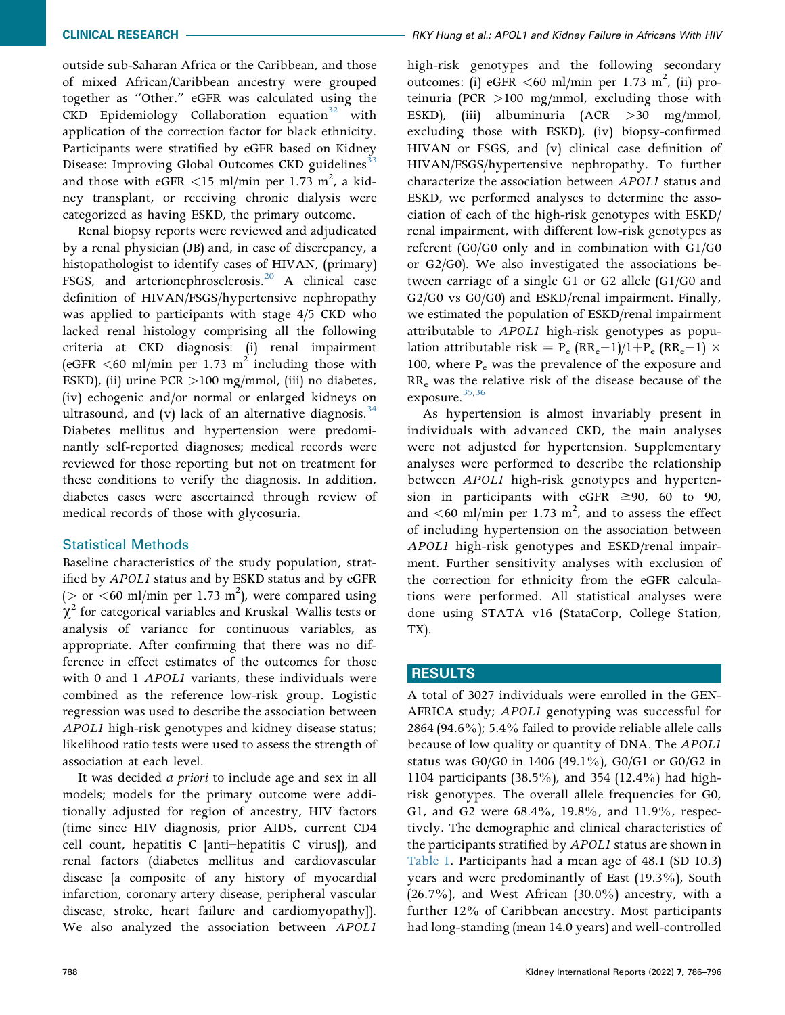outside sub-Saharan Africa or the Caribbean, and those of mixed African/Caribbean ancestry were grouped together as "Other." eGFR was calculated using the  $CKD$  Epidemiology Collaboration equation<sup>[32](#page-11-10)</sup> with application of the correction factor for black ethnicity. Participants were stratified by eGFR based on Kidney Disease: Improving Global Outcomes CKD guidelines<sup>[33](#page-11-11)</sup> and those with eGFR  $\lt 15$  ml/min per 1.73 m<sup>2</sup>, a kidney transplant, or receiving chronic dialysis were categorized as having ESKD, the primary outcome.

Renal biopsy reports were reviewed and adjudicated by a renal physician (JB) and, in case of discrepancy, a histopathologist to identify cases of HIVAN, (primary) FSGS, and arterionephrosclerosis.<sup>20</sup> A clinical case definition of HIVAN/FSGS/hypertensive nephropathy was applied to participants with stage 4/5 CKD who lacked renal histology comprising all the following criteria at CKD diagnosis: (i) renal impairment (eGFR  $\leq 60$  ml/min per 1.73 m<sup>2</sup> including those with ESKD), (ii) urine PCR >100 mg/mmol, (iii) no diabetes, (iv) echogenic and/or normal or enlarged kidneys on ultrasound, and (v) lack of an alternative diagnosis.  $34$ Diabetes mellitus and hypertension were predominantly self-reported diagnoses; medical records were reviewed for those reporting but not on treatment for these conditions to verify the diagnosis. In addition, diabetes cases were ascertained through review of medical records of those with glycosuria.

# Statistical Methods

Baseline characteristics of the study population, stratified by APOL1 status and by ESKD status and by eGFR ( $>$  or <60 ml/min per 1.73 m<sup>2</sup>), were compared using  $\chi^2$  for categorical variables and Kruskal–Wallis tests or analysis of variance for continuous variables, as appropriate. After confirming that there was no difference in effect estimates of the outcomes for those with 0 and 1 APOL1 variants, these individuals were combined as the reference low-risk group. Logistic regression was used to describe the association between APOL1 high-risk genotypes and kidney disease status; likelihood ratio tests were used to assess the strength of association at each level.

It was decided *a priori* to include age and sex in all models; models for the primary outcome were additionally adjusted for region of ancestry, HIV factors (time since HIV diagnosis, prior AIDS, current CD4 cell count, hepatitis C [anti–hepatitis C virus]), and renal factors (diabetes mellitus and cardiovascular disease [a composite of any history of myocardial infarction, coronary artery disease, peripheral vascular disease, stroke, heart failure and cardiomyopathy]). We also analyzed the association between APOL1

high-risk genotypes and the following secondary outcomes: (i) eGFR <60 ml/min per 1.73 m<sup>2</sup>, (ii) proteinuria (PCR >100 mg/mmol, excluding those with ESKD), (iii) albuminuria (ACR >30 mg/mmol, excluding those with ESKD), (iv) biopsy-confirmed HIVAN or FSGS, and (v) clinical case definition of HIVAN/FSGS/hypertensive nephropathy. To further characterize the association between APOL1 status and ESKD, we performed analyses to determine the association of each of the high-risk genotypes with ESKD/ renal impairment, with different low-risk genotypes as referent (G0/G0 only and in combination with G1/G0 or G2/G0). We also investigated the associations between carriage of a single G1 or G2 allele (G1/G0 and G2/G0 vs G0/G0) and ESKD/renal impairment. Finally, we estimated the population of ESKD/renal impairment attributable to APOL1 high-risk genotypes as population attributable risk =  $P_e$  (RR<sub>e</sub>-1)/1+P<sub>e</sub> (RR<sub>e</sub>-1)  $\times$ 100, where  $P_e$  was the prevalence of the exposure and RRe was the relative risk of the disease because of the exposure.<sup>35,[36](#page-11-14)</sup>

As hypertension is almost invariably present in individuals with advanced CKD, the main analyses were not adjusted for hypertension. Supplementary analyses were performed to describe the relationship between APOL1 high-risk genotypes and hypertension in participants with eGFR  $\geq$ 90, 60 to 90, and  $\lt 60$  ml/min per 1.73 m<sup>2</sup>, and to assess the effect of including hypertension on the association between APOL1 high-risk genotypes and ESKD/renal impairment. Further sensitivity analyses with exclusion of the correction for ethnicity from the eGFR calculations were performed. All statistical analyses were done using STATA v16 (StataCorp, College Station, TX).

# RESULTS

A total of 3027 individuals were enrolled in the GEN-AFRICA study; APOL1 genotyping was successful for 2864 (94.6%); 5.4% failed to provide reliable allele calls because of low quality or quantity of DNA. The APOL1 status was G0/G0 in 1406 (49.1%), G0/G1 or G0/G2 in 1104 participants (38.5%), and 354 (12.4%) had highrisk genotypes. The overall allele frequencies for G0, G1, and G2 were 68.4%, 19.8%, and 11.9%, respectively. The demographic and clinical characteristics of the participants stratified by APOL1 status are shown in [Table 1](#page-4-0). Participants had a mean age of 48.1 (SD 10.3) years and were predominantly of East (19.3%), South  $(26.7%)$ , and West African  $(30.0%)$  ancestry, with a further 12% of Caribbean ancestry. Most participants had long-standing (mean 14.0 years) and well-controlled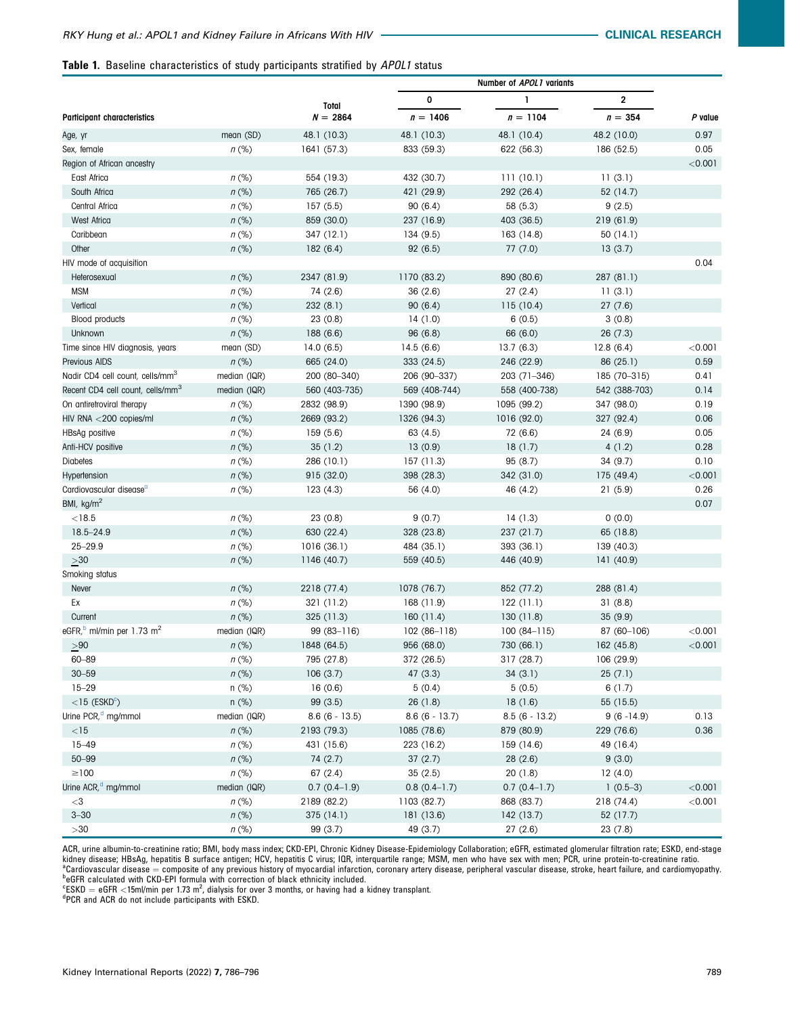#### <span id="page-4-0"></span>Table 1. Baseline characteristics of study participants stratified by APOL1 status

|                                                   |              | Total           |                 |                 |                         |         |
|---------------------------------------------------|--------------|-----------------|-----------------|-----------------|-------------------------|---------|
|                                                   |              |                 | 0               | 1               | $\overline{\mathbf{c}}$ | P value |
| <b>Participant characteristics</b>                |              | $N = 2864$      | $n = 1406$      | $n = 1104$      | $n = 354$               |         |
| Age, yr                                           | mean (SD)    | 48.1 (10.3)     | 48.1 (10.3)     | 48.1 (10.4)     | 48.2 (10.0)             | 0.97    |
| Sex, female                                       | $n$ (%)      | 1641 (57.3)     | 833 (59.3)      | 622 (56.3)      | 186 (52.5)              | 0.05    |
| Region of African ancestry                        |              |                 |                 |                 |                         | < 0.001 |
| East Africa                                       | $n$ (%)      | 554 (19.3)      | 432 (30.7)      | 111(10.1)       | 11(3.1)                 |         |
| South Africa                                      | $n$ (%)      | 765 (26.7)      | 421 (29.9)      | 292 (26.4)      | 52 (14.7)               |         |
| Central Africa                                    | $n$ (%)      | 157(5.5)        | 90(6.4)         | 58 (5.3)        | 9(2.5)                  |         |
| West Africa                                       | $n$ (%)      | 859 (30.0)      | 237 (16.9)      | 403 (36.5)      | 219 (61.9)              |         |
| Caribbean                                         | $n$ (%)      | 347 (12.1)      | 134(9.5)        | 163 (14.8)      | 50 (14.1)               |         |
| Other                                             | $n$ (%)      | 182(6.4)        | 92(6.5)         | 77(7.0)         | 13(3.7)                 |         |
| HIV mode of acquisition                           |              |                 |                 |                 |                         | 0.04    |
| Heterosexual                                      | $n$ (%)      | 2347 (81.9)     | 1170 (83.2)     | 890 (80.6)      | 287 (81.1)              |         |
| <b>MSM</b>                                        | $n$ (%)      | 74 (2.6)        | 36(2.6)         | 27(2.4)         | 11(3.1)                 |         |
| Vertical                                          | $n$ (%)      | 232(8.1)        | 90(6.4)         | 115 (10.4)      | 27(7.6)                 |         |
| <b>Blood products</b>                             | $n$ (%)      | 23(0.8)         | 14(1.0)         | 6(0.5)          | 3(0.8)                  |         |
| Unknown                                           | $n$ (%)      | 188 (6.6)       | 96 (6.8)        | 66 (6.0)        | 26(7.3)                 |         |
| Time since HIV diagnosis, years                   | mean (SD)    | 14.0(6.5)       | 14.5(6.6)       | 13.7(6.3)       | 12.8(6.4)               | < 0.001 |
| <b>Previous AIDS</b>                              | $n$ (%)      | 665 (24.0)      | 333 (24.5)      | 246 (22.9)      | 86 (25.1)               | 0.59    |
| Nadir CD4 cell count, cells/mm <sup>3</sup>       | median (IQR) | 200 (80-340)    | 206 (90-337)    | 203 (71-346)    | 185 (70-315)            | 0.41    |
| Recent CD4 cell count, cells/mm <sup>3</sup>      | median (IQR) | 560 (403-735)   | 569 (408-744)   | 558 (400-738)   | 542 (388-703)           | 0.14    |
| On antiretroviral therapy                         | $n$ (%)      | 2832 (98.9)     | 1390 (98.9)     | 1095 (99.2)     | 347 (98.0)              | 0.19    |
| HIV RNA <200 copies/ml                            | $n$ (%)      | 2669 (93.2)     | 1326 (94.3)     | 1016 (92.0)     | 327 (92.4)              | 0.06    |
| HBsAg positive                                    | $n$ (%)      | 159(5.6)        | 63 (4.5)        | 72 (6.6)        | 24 (6.9)                | 0.05    |
| Anti-HCV positive                                 | $n$ (%)      | 35(1.2)         | 13(0.9)         | 18(1.7)         | 4(1.2)                  | 0.28    |
| <b>Diabetes</b>                                   | $n$ (%)      | 286 (10.1)      | 157(11.3)       | 95(8.7)         | 34(9.7)                 | 0.10    |
| Hypertension                                      | $n$ (%)      | 915 (32.0)      | 398 (28.3)      | 342 (31.0)      | 175 (49.4)              | < 0.001 |
| Cardiovascular disease <sup>a</sup>               | $n$ (%)      | 123(4.3)        | 56 (4.0)        | 46 (4.2)        | 21(5.9)                 | 0.26    |
| BMI, kg/m <sup>2</sup>                            |              |                 |                 |                 |                         | 0.07    |
| $<$ 18.5                                          | $n$ (%)      | 23(0.8)         | 9(0.7)          | 14(1.3)         | 0(0.0)                  |         |
| 18.5-24.9                                         | $n$ (%)      | 630 (22.4)      | 328 (23.8)      | 237 (21.7)      | 65 (18.8)               |         |
| $25 - 29.9$                                       | $n$ (%)      | 1016(36.1)      | 484 (35.1)      | 393 (36.1)      | 139 (40.3)              |         |
| $>\!\!30$                                         | $n$ (%)      | 1146 (40.7)     | 559 (40.5)      | 446 (40.9)      | 141 (40.9)              |         |
| Smoking status                                    |              |                 |                 |                 |                         |         |
| Never                                             | $n$ (%)      | 2218 (77.4)     | 1078 (76.7)     | 852 (77.2)      | 288 (81.4)              |         |
| Ex                                                | $n$ (%)      | 321 (11.2)      | 168 (11.9)      | 122 (11.1)      | 31(8.8)                 |         |
| Current                                           | $n$ (%)      | 325(11.3)       | 160(11.4)       | 130(11.8)       | 35(9.9)                 |         |
| eGFR, <sup>b</sup> ml/min per 1.73 m <sup>2</sup> | median (IQR) | $99(83 - 116)$  | $102(86-118)$   | $100(84-115)$   | 87 (60-106)             | < 0.001 |
| > 90                                              | $n$ (%)      | 1848 (64.5)     | 956 (68.0)      | 730 (66.1)      | 162(45.8)               | < 0.001 |
| $60 - 89$                                         | $n$ (%)      | 795 (27.8)      | 372 (26.5)      | 317 (28.7)      | 106 (29.9)              |         |
| $30 - 59$                                         | $n$ (%)      | 106(3.7)        | 47(3.3)         | 34(3.1)         | 25(7.1)                 |         |
| $15 - 29$                                         | $n$ (%)      | 16(0.6)         | 5(0.4)          | 5(0.5)          | 6(1.7)                  |         |
| $<$ 15 (ESKD $^{\circ}$ )                         | $n$ (%)      | 99(3.5)         | 26(1.8)         | 18(1.6)         | 55 (15.5)               |         |
| Urine PCR, <sup>d</sup> mg/mmol                   | median (IQR) | $8.6(6 - 13.5)$ | $8.6(6 - 13.7)$ | $8.5(6 - 13.2)$ | $9(6 - 14.9)$           | 0.13    |
| $<$ 15                                            | $n$ (%)      | 2193 (79.3)     | 1085 (78.6)     | 879 (80.9)      | 229 (76.6)              | 0.36    |
| $15 - 49$                                         | $n$ (%)      | 431 (15.6)      | 223 (16.2)      | 159 (14.6)      | 49 (16.4)               |         |
| $50 - 99$                                         | $n$ (%)      | 74(2.7)         | 37(2.7)         | 28(2.6)         | 9(3.0)                  |         |
| $\geq$ 100                                        | $n$ (%)      | 67(2.4)         | 35(2.5)         | 20(1.8)         | 12(4.0)                 |         |
| Urine ACR, <sup>d</sup> mg/mmol                   | median (IQR) | $0.7(0.4-1.9)$  | $0.8(0.4-1.7)$  | $0.7(0.4-1.7)$  | $1(0.5-3)$              | < 0.001 |
| $<$ 3                                             | $n$ (%)      | 2189 (82.2)     | 1103 (82.7)     | 868 (83.7)      | 218 (74.4)              | < 0.001 |
| $3 - 30$                                          | $n$ (%)      | 375(14.1)       | 181 (13.6)      | 142(13.7)       | 52 (17.7)               |         |
| $>\!\!30$                                         | $n$ (%)      | 99 (3.7)        | 49 (3.7)        | 27(2.6)         | 23(7.8)                 |         |

<span id="page-4-1"></span>ACR, urine albumin-to-creatinine ratio; BMI, body mass index; CKD-EPI, Chronic Kidney Disease-Epidemiology Collaboration; eGFR, estimated glomerular filtration rate; ESKD, end-stage kidney disease; HBsAg, hepatitis B surface antigen; HCV, hepatitis C virus; IQR, interquartile range; MSM, men who have sex with men; PCR, urine protein-to-creatinine ratio. <sup>a</sup>Cardiovascular disease = composite of any previous history of myocardial infarction, coronary artery disease, peripheral vascular disease, stroke, heart failure, and cardiomyopathy.<br><sup>b</sup>eGFR calculated with CKD-EPI formu

<span id="page-4-3"></span><span id="page-4-2"></span> ${}^{\text{c}}$ ESKD = eGFR <15ml/min per 1.73 m<sup>2</sup>, dialysis for over 3 months, or having had a kidney transplant.<br><sup>dp</sup>CP and ACP de pet include participants with ESKD

<span id="page-4-4"></span>PCR and ACR do not include participants with ESKD.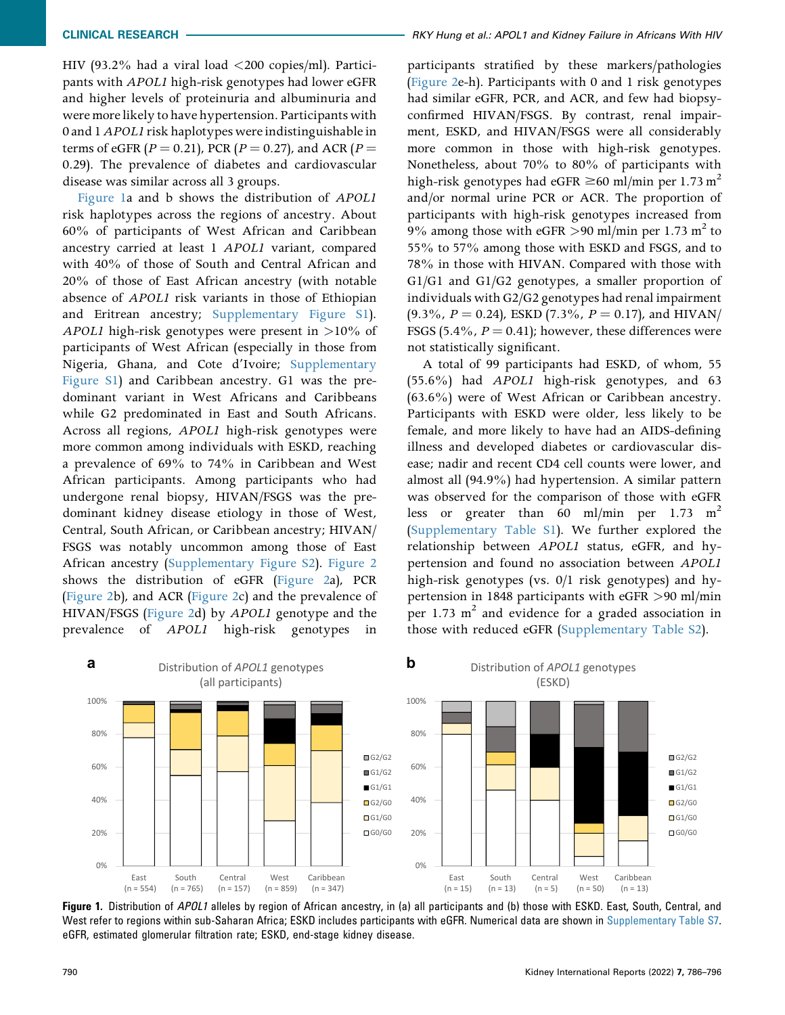HIV (93.2% had a viral load <200 copies/ml). Participants with APOL1 high-risk genotypes had lower eGFR and higher levels of proteinuria and albuminuria and were more likely to have hypertension. Participants with 0 and 1APOL1 risk haplotypes were indistinguishable in terms of eGFR ( $P = 0.21$ ), PCR ( $P = 0.27$ ), and ACR ( $P =$ 0.29). The prevalence of diabetes and cardiovascular disease was similar across all 3 groups.

[Figure 1a](#page-5-0) and b shows the distribution of APOL1 risk haplotypes across the regions of ancestry. About 60% of participants of West African and Caribbean ancestry carried at least 1 APOL1 variant, compared with 40% of those of South and Central African and 20% of those of East African ancestry (with notable absence of APOL1 risk variants in those of Ethiopian and Eritrean ancestry; Supplementary Figure S1). APOL1 high-risk genotypes were present in >10% of participants of West African (especially in those from Nigeria, Ghana, and Cote d'Ivoire; Supplementary Figure S1) and Caribbean ancestry. G1 was the predominant variant in West Africans and Caribbeans while G2 predominated in East and South Africans. Across all regions, APOL1 high-risk genotypes were more common among individuals with ESKD, reaching a prevalence of 69% to 74% in Caribbean and West African participants. Among participants who had undergone renal biopsy, HIVAN/FSGS was the predominant kidney disease etiology in those of West, Central, South African, or Caribbean ancestry; HIVAN/ FSGS was notably uncommon among those of East African ancestry (Supplementary Figure S2). [Figure 2](#page-6-0) shows the distribution of eGFR [\(Figure 2](#page-6-0)a), PCR ([Figure 2](#page-6-0)b), and ACR ([Figure 2](#page-6-0)c) and the prevalence of HIVAN/FSGS ([Figure 2d](#page-6-0)) by APOL1 genotype and the prevalence of APOL1 high-risk genotypes in

participants stratified by these markers/pathologies ([Figure 2](#page-6-0)e-h). Participants with 0 and 1 risk genotypes had similar eGFR, PCR, and ACR, and few had biopsyconfirmed HIVAN/FSGS. By contrast, renal impairment, ESKD, and HIVAN/FSGS were all considerably more common in those with high-risk genotypes. Nonetheless, about 70% to 80% of participants with high-risk genotypes had eGFR  $\geq 60$  ml/min per 1.73 m<sup>2</sup> and/or normal urine PCR or ACR. The proportion of participants with high-risk genotypes increased from 9% among those with eGFR >90 ml/min per 1.73 m<sup>2</sup> to 55% to 57% among those with ESKD and FSGS, and to 78% in those with HIVAN. Compared with those with G1/G1 and G1/G2 genotypes, a smaller proportion of individuals with G2/G2 genotypes had renal impairment  $(9.3\%$ ,  $P = 0.24$ ), ESKD  $(7.3\%$ ,  $P = 0.17$ ), and HIVAN/ FSGS (5.4%,  $P = 0.41$ ); however, these differences were not statistically significant.

A total of 99 participants had ESKD, of whom, 55 (55.6%) had APOL1 high-risk genotypes, and 63 (63.6%) were of West African or Caribbean ancestry. Participants with ESKD were older, less likely to be female, and more likely to have had an AIDS-defining illness and developed diabetes or cardiovascular disease; nadir and recent CD4 cell counts were lower, and almost all (94.9%) had hypertension. A similar pattern was observed for the comparison of those with eGFR less or greater than 60 ml/min per 1.73 m<sup>2</sup> (Supplementary Table S1). We further explored the relationship between APOL1 status, eGFR, and hypertension and found no association between APOL1 high-risk genotypes (vs. 0/1 risk genotypes) and hypertension in 1848 participants with eGFR >90 ml/min per 1.73  $m<sup>2</sup>$  and evidence for a graded association in those with reduced eGFR (Supplementary Table S2).

<span id="page-5-0"></span>

Figure 1. Distribution of APOL1 alleles by region of African ancestry, in (a) all participants and (b) those with ESKD. East, South, Central, and West refer to regions within sub-Saharan Africa; ESKD includes participants with eGFR. Numerical data are shown in Supplementary Table S7. eGFR, estimated glomerular filtration rate; ESKD, end-stage kidney disease.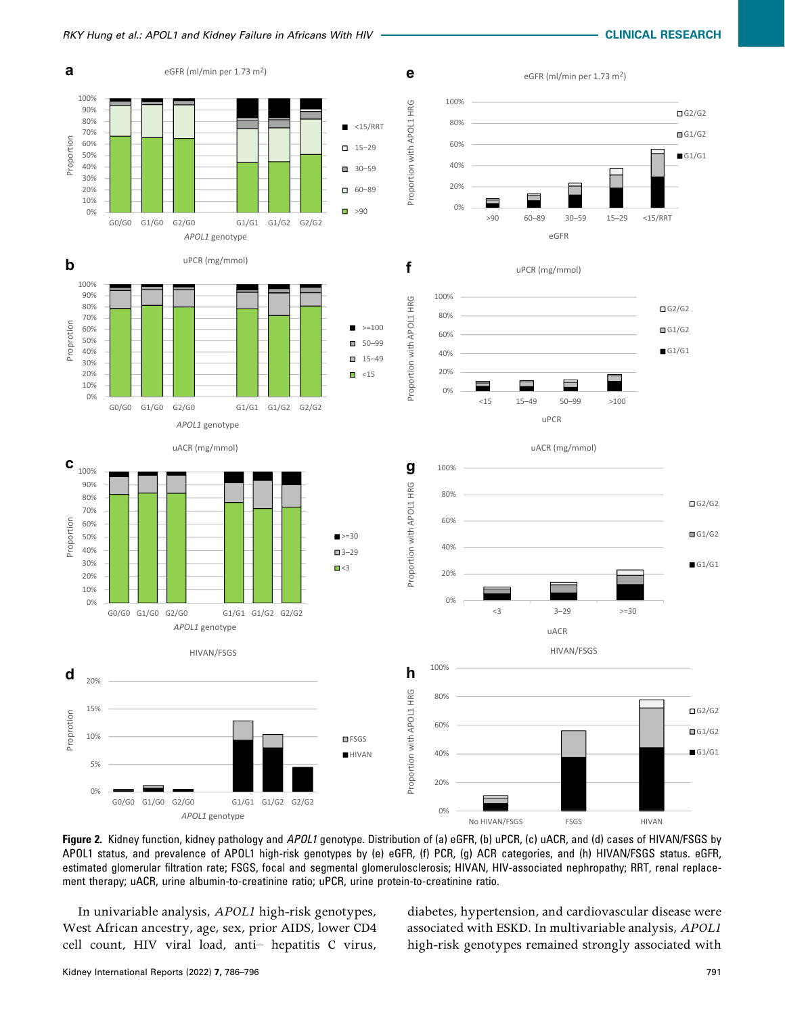<span id="page-6-0"></span>

Figure 2. Kidney function, kidney pathology and APOL1 genotype. Distribution of (a) eGFR, (b) uPCR, (c) uACR, and (d) cases of HIVAN/FSGS by APOL1 status, and prevalence of APOL1 high-risk genotypes by (e) eGFR, (f) PCR, (g) ACR categories, and (h) HIVAN/FSGS status. eGFR, estimated glomerular filtration rate; FSGS, focal and segmental glomerulosclerosis; HIVAN, HIV-associated nephropathy; RRT, renal replacement therapy; uACR, urine albumin-to-creatinine ratio; uPCR, urine protein-to-creatinine ratio.

In univariable analysis, APOL1 high-risk genotypes, West African ancestry, age, sex, prior AIDS, lower CD4 cell count, HIV viral load, anti– hepatitis C virus, diabetes, hypertension, and cardiovascular disease were associated with ESKD. In multivariable analysis, APOL1 high-risk genotypes remained strongly associated with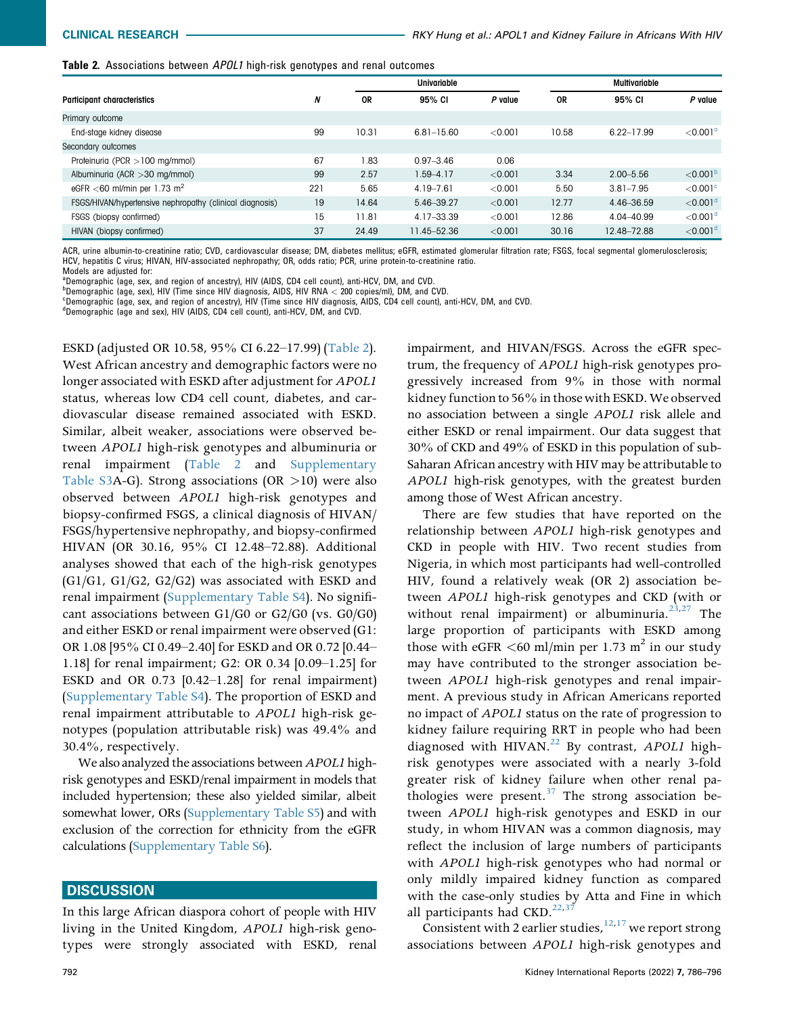<span id="page-7-0"></span>

| Table 2. Associations between APOL1 high-risk genotypes and renal outcomes |  |  |   |
|----------------------------------------------------------------------------|--|--|---|
|                                                                            |  |  | . |

|                                                          |     | Univariable |                |         | <b>Multivariable</b> |               |                      |
|----------------------------------------------------------|-----|-------------|----------------|---------|----------------------|---------------|----------------------|
| <b>Participant characteristics</b>                       | N   | <b>OR</b>   | 95% CI         | P value | <b>OR</b>            | 95% CI        | P value              |
| Primary outcome                                          |     |             |                |         |                      |               |                      |
| End-stage kidney disease                                 | 99  | 10.31       | $6.81 - 15.60$ | < 0.001 | 10.58                | 6.22-17.99    | $<$ 0.001 $^{\circ}$ |
| Secondary outcomes                                       |     |             |                |         |                      |               |                      |
| Proteinuria (PCR > 100 mg/mmol)                          | 67  | 1.83        | $0.97 - 3.46$  | 0.06    |                      |               |                      |
| Albuminuria (ACR $>$ 30 mg/mmol)                         | 99  | 2.57        | 1.59-4.17      | < 0.001 | 3.34                 | $2.00 - 5.56$ | $<$ 0.001 $^{\rm b}$ |
| eGFR $<$ 60 ml/min per 1.73 m <sup>2</sup>               | 221 | 5.65        | 4.19-7.61      | < 0.001 | 5.50                 | $3.81 - 7.95$ | $<$ 0.001 $\degree$  |
| FSGS/HIVAN/hypertensive nephropathy (clinical diagnosis) | 19  | 14.64       | 5.46-39.27     | < 0.001 | 12.77                | 4.46-36.59    | $<$ 0.001 $d$        |
| FSGS (biopsy confirmed)                                  | 15  | 11.81       | 4.17-33.39     | < 0.001 | 12.86                | 4.04-40.99    | $<$ 0.001 $d$        |
| HIVAN (biopsy confirmed)                                 | 37  | 24.49       | 11.45-52.36    | < 0.001 | 30.16                | 12.48-72.88   | $<$ 0.001 $d$        |

ACR, urine albumin-to-creatinine ratio; CVD, cardiovascular disease; DM, diabetes mellitus; eGFR, estimated glomerular filtration rate; FSGS, focal segmental glomerulosclerosis; HCV, hepatitis C virus; HIVAN, HIV-associated nephropathy; OR, odds ratio; PCR, urine protein-to-creatinine ratio.

Models are adjusted for:

<span id="page-7-1"></span><sup>a</sup>Demographic (age, sex, and region of ancestry), HIV (AIDS, CD4 cell count), anti-HCV, DM, and CVD.

<span id="page-7-3"></span><span id="page-7-2"></span>b Demographic (age, sex), HIV (Time since HIV diagnosis, AIDS, HIV RNA < 200 copies/ml), DM, and CVD.<br>CDomographic (age, sex, and region of appearing), HIV (Time since HIV diagnosis, AIDS, CD4 cell count), a Demographic (age, sex, and region of ancestry), HIV (Time since HIV diagnosis, AIDS, CD4 cell count), anti-HCV, DM, and CVD.

<span id="page-7-4"></span><sup>d</sup>Demographic (age and sex), HIV (AIDS, CD4 cell count), anti-HCV, DM, and CVD.

ESKD (adjusted OR 10.58, 95% CI 6.22–17.99) ([Table 2\)](#page-7-0). West African ancestry and demographic factors were no longer associated with ESKD after adjustment for *APOL1* status, whereas low CD4 cell count, diabetes, and cardiovascular disease remained associated with ESKD. Similar, albeit weaker, associations were observed between APOL1 high-risk genotypes and albuminuria or renal impairment [\(Table 2](#page-7-0) and Supplementary Table S3A-G). Strong associations (OR  $>10$ ) were also observed between APOL1 high-risk genotypes and biopsy-confirmed FSGS, a clinical diagnosis of HIVAN/ FSGS/hypertensive nephropathy, and biopsy-confirmed HIVAN (OR 30.16, 95% CI 12.48–72.88). Additional analyses showed that each of the high-risk genotypes (G1/G1, G1/G2, G2/G2) was associated with ESKD and renal impairment (Supplementary Table S4). No significant associations between G1/G0 or G2/G0 (vs. G0/G0) and either ESKD or renal impairment were observed (G1: OR 1.08 [95% CI 0.49–2.40] for ESKD and OR 0.72 [0.44– 1.18] for renal impairment; G2: OR 0.34 [0.09–1.25] for ESKD and OR 0.73 [0.42–1.28] for renal impairment) (Supplementary Table S4). The proportion of ESKD and renal impairment attributable to APOL1 high-risk genotypes (population attributable risk) was 49.4% and 30.4%, respectively.

We also analyzed the associations between APOL1 highrisk genotypes and ESKD/renal impairment in models that included hypertension; these also yielded similar, albeit somewhat lower, ORs (Supplementary Table S5) and with exclusion of the correction for ethnicity from the eGFR calculations (Supplementary Table S6).

### **DISCUSSION**

In this large African diaspora cohort of people with HIV living in the United Kingdom, APOL1 high-risk genotypes were strongly associated with ESKD, renal impairment, and HIVAN/FSGS. Across the eGFR spectrum, the frequency of APOL1 high-risk genotypes progressively increased from 9% in those with normal kidney function to 56% in those with ESKD. We observed no association between a single APOL1 risk allele and either ESKD or renal impairment. Our data suggest that 30% of CKD and 49% of ESKD in this population of sub-Saharan African ancestry with HIV may be attributable to APOL1 high-risk genotypes, with the greatest burden among those of West African ancestry.

There are few studies that have reported on the relationship between APOL1 high-risk genotypes and CKD in people with HIV. Two recent studies from Nigeria, in which most participants had well-controlled HIV, found a relatively weak (OR 2) association between APOL1 high-risk genotypes and CKD (with or without renal impairment) or albuminuria.<sup>[23](#page-11-1),[27](#page-11-5)</sup> The large proportion of participants with ESKD among those with eGFR  $\leq 60$  ml/min per 1.73 m<sup>2</sup> in our study may have contributed to the stronger association between APOL1 high-risk genotypes and renal impairment. A previous study in African Americans reported no impact of APOL1 status on the rate of progression to kidney failure requiring RRT in people who had been diagnosed with HIVAN.<sup>22</sup> By contrast, APOL1 highrisk genotypes were associated with a nearly 3-fold greater risk of kidney failure when other renal pathologies were present. $37$  The strong association between APOL1 high-risk genotypes and ESKD in our study, in whom HIVAN was a common diagnosis, may reflect the inclusion of large numbers of participants with APOL1 high-risk genotypes who had normal or only mildly impaired kidney function as compared with the case-only studies by Atta and Fine in which all participants had CKD. $^{22,37}$  $^{22,37}$  $^{22,37}$  $^{22,37}$ 

Consistent with 2 earlier studies,  $12,17$  $12,17$  we report strong associations between APOL1 high-risk genotypes and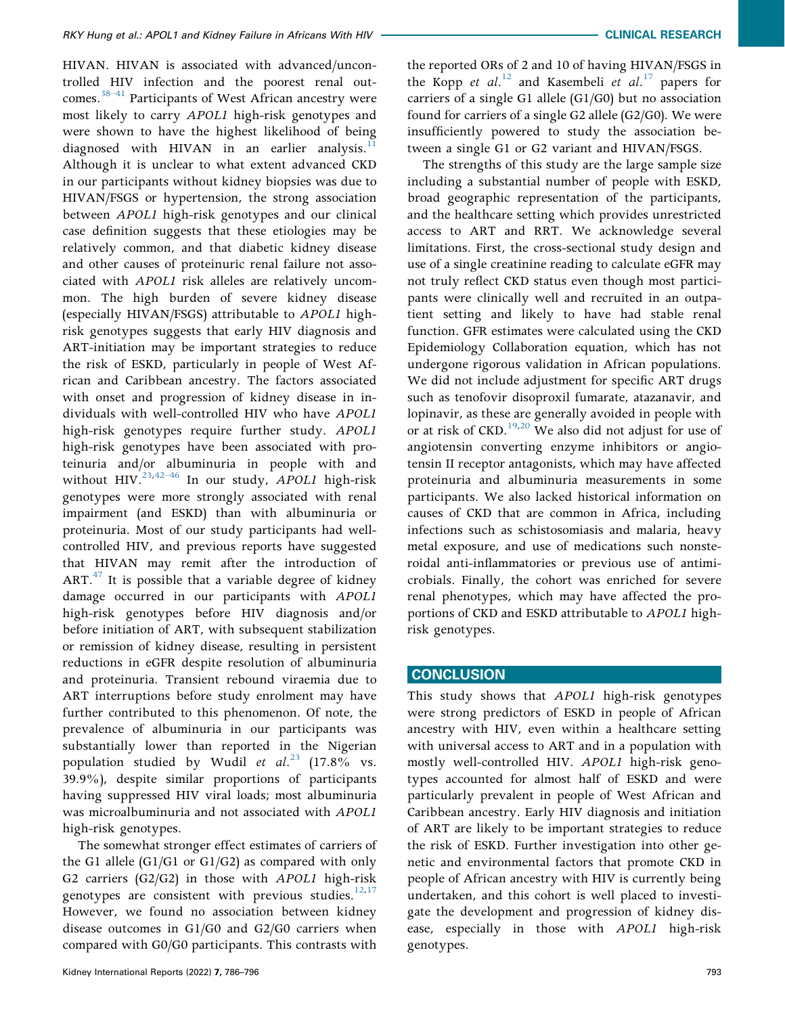HIVAN. HIVAN is associated with advanced/uncontrolled HIV infection and the poorest renal outcomes.<sup>38–41</sup> Participants of West African ancestry were most likely to carry APOL1 high-risk genotypes and were shown to have the highest likelihood of being diagnosed with HIVAN in an earlier analysis.<sup>[11](#page-10-8)</sup> Although it is unclear to what extent advanced CKD in our participants without kidney biopsies was due to HIVAN/FSGS or hypertension, the strong association between APOL1 high-risk genotypes and our clinical case definition suggests that these etiologies may be relatively common, and that diabetic kidney disease and other causes of proteinuric renal failure not associated with APOL1 risk alleles are relatively uncommon. The high burden of severe kidney disease (especially HIVAN/FSGS) attributable to APOL1 highrisk genotypes suggests that early HIV diagnosis and ART-initiation may be important strategies to reduce the risk of ESKD, particularly in people of West African and Caribbean ancestry. The factors associated with onset and progression of kidney disease in individuals with well-controlled HIV who have APOL1 high-risk genotypes require further study. APOL1 high-risk genotypes have been associated with proteinuria and/o[r alb](#page-11-17)uminuria in people with and without  $HIV.<sup>(23,42-46)</sup>$  $HIV.<sup>(23,42-46)</sup>$  $HIV.<sup>(23,42-46)</sup>$  In our study, APOL1 high-risk genotypes were more strongly associated with renal impairment (and ESKD) than with albuminuria or proteinuria. Most of our study participants had wellcontrolled HIV, and previous reports have suggested that HIVAN may remit after the introduction of  $ART.^{47}$  It is possible that a variable degree of kidney damage occurred in our participants with APOL1 high-risk genotypes before HIV diagnosis and/or before initiation of ART, with subsequent stabilization or remission of kidney disease, resulting in persistent reductions in eGFR despite resolution of albuminuria and proteinuria. Transient rebound viraemia due to ART interruptions before study enrolment may have further contributed to this phenomenon. Of note, the prevalence of albuminuria in our participants was substantially lower than reported in the Nigerian population studied by Wudil et  $al.^{23}$  $al.^{23}$  $al.^{23}$  (17.8% vs. 39.9%), despite similar proportions of participants having suppressed HIV viral loads; most albuminuria was microalbuminuria and not associated with APOL1 high-risk genotypes.

The somewhat stronger effect estimates of carriers of the G1 allele (G1/G1 or G1/G2) as compared with only G2 carriers (G2/G2) in those with APOL1 high-risk genotypes are consistent with previous studies. $12,17$  $12,17$ However, we found no association between kidney disease outcomes in G1/G0 and G2/G0 carriers when compared with G0/G0 participants. This contrasts with

the reported ORs of 2 and 10 of having HIVAN/FSGS in the Kopp et al.<sup>[12](#page-10-9)</sup> and Kasembeli et al.<sup>[17](#page-10-14)</sup> papers for carriers of a single G1 allele (G1/G0) but no association found for carriers of a single G2 allele (G2/G0). We were insufficiently powered to study the association between a single G1 or G2 variant and HIVAN/FSGS.

The strengths of this study are the large sample size including a substantial number of people with ESKD, broad geographic representation of the participants, and the healthcare setting which provides unrestricted access to ART and RRT. We acknowledge several limitations. First, the cross-sectional study design and use of a single creatinine reading to calculate eGFR may not truly reflect CKD status even though most participants were clinically well and recruited in an outpatient setting and likely to have had stable renal function. GFR estimates were calculated using the CKD Epidemiology Collaboration equation, which has not undergone rigorous validation in African populations. We did not include adjustment for specific ART drugs such as tenofovir disoproxil fumarate, atazanavir, and lopinavir, as these are generally avoided in people with or at risk of CKD.<sup>[19,](#page-10-16)[20](#page-10-17)</sup> We also did not adjust for use of angiotensin converting enzyme inhibitors or angiotensin II receptor antagonists, which may have affected proteinuria and albuminuria measurements in some participants. We also lacked historical information on causes of CKD that are common in Africa, including infections such as schistosomiasis and malaria, heavy metal exposure, and use of medications such nonsteroidal anti-inflammatories or previous use of antimicrobials. Finally, the cohort was enriched for severe renal phenotypes, which may have affected the proportions of CKD and ESKD attributable to APOL1 highrisk genotypes.

# **CONCLUSION**

This study shows that APOL1 high-risk genotypes were strong predictors of ESKD in people of African ancestry with HIV, even within a healthcare setting with universal access to ART and in a population with mostly well-controlled HIV. APOL1 high-risk genotypes accounted for almost half of ESKD and were particularly prevalent in people of West African and Caribbean ancestry. Early HIV diagnosis and initiation of ART are likely to be important strategies to reduce the risk of ESKD. Further investigation into other genetic and environmental factors that promote CKD in people of African ancestry with HIV is currently being undertaken, and this cohort is well placed to investigate the development and progression of kidney disease, especially in those with APOL1 high-risk genotypes.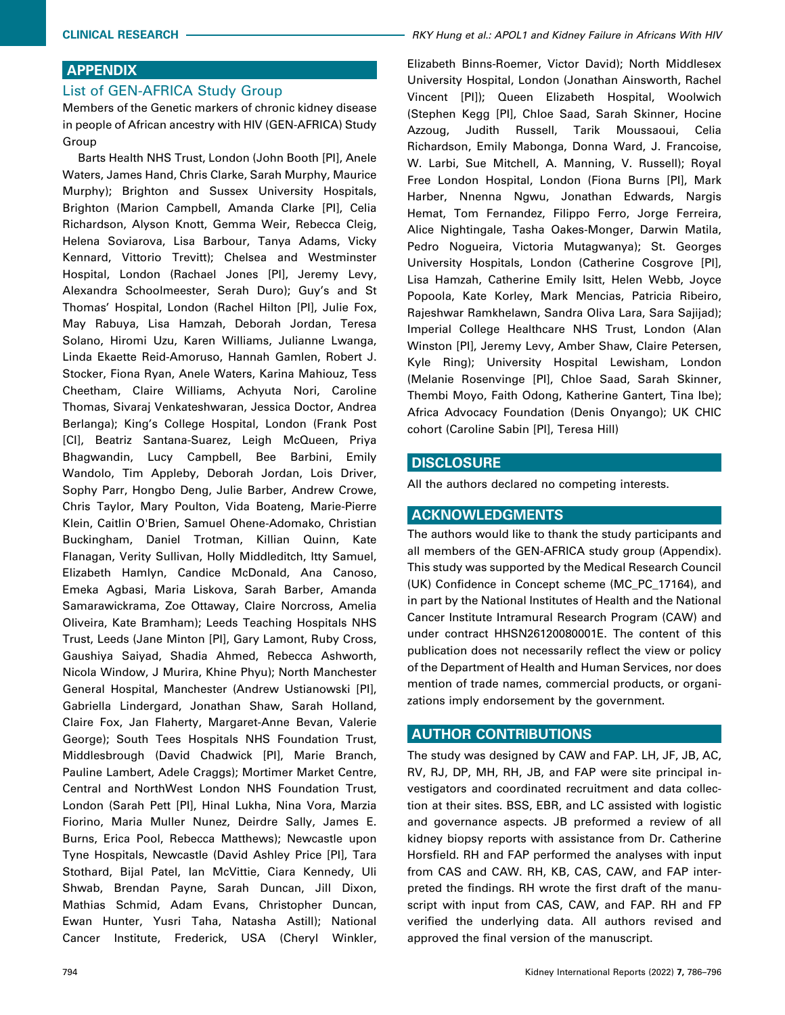# APPENDIX

## List of GEN-AFRICA Study Group

Members of the Genetic markers of chronic kidney disease in people of African ancestry with HIV (GEN-AFRICA) Study Group

Barts Health NHS Trust, London (John Booth [PI], Anele Waters, James Hand, Chris Clarke, Sarah Murphy, Maurice Murphy); Brighton and Sussex University Hospitals, Brighton (Marion Campbell, Amanda Clarke [PI], Celia Richardson, Alyson Knott, Gemma Weir, Rebecca Cleig, Helena Soviarova, Lisa Barbour, Tanya Adams, Vicky Kennard, Vittorio Trevitt); Chelsea and Westminster Hospital, London (Rachael Jones [PI], Jeremy Levy, Alexandra Schoolmeester, Serah Duro); Guy's and St Thomas' Hospital, London (Rachel Hilton [PI], Julie Fox, May Rabuya, Lisa Hamzah, Deborah Jordan, Teresa Solano, Hiromi Uzu, Karen Williams, Julianne Lwanga, Linda Ekaette Reid-Amoruso, Hannah Gamlen, Robert J. Stocker, Fiona Ryan, Anele Waters, Karina Mahiouz, Tess Cheetham, Claire Williams, Achyuta Nori, Caroline Thomas, Sivaraj Venkateshwaran, Jessica Doctor, Andrea Berlanga); King's College Hospital, London (Frank Post [CI], Beatriz Santana-Suarez, Leigh McQueen, Priya Bhagwandin, Lucy Campbell, Bee Barbini, Emily Wandolo, Tim Appleby, Deborah Jordan, Lois Driver, Sophy Parr, Hongbo Deng, Julie Barber, Andrew Crowe, Chris Taylor, Mary Poulton, Vida Boateng, Marie-Pierre Klein, Caitlin O'Brien, Samuel Ohene-Adomako, Christian Buckingham, Daniel Trotman, Killian Quinn, Kate Flanagan, Verity Sullivan, Holly Middleditch, Itty Samuel, Elizabeth Hamlyn, Candice McDonald, Ana Canoso, Emeka Agbasi, Maria Liskova, Sarah Barber, Amanda Samarawickrama, Zoe Ottaway, Claire Norcross, Amelia Oliveira, Kate Bramham); Leeds Teaching Hospitals NHS Trust, Leeds (Jane Minton [PI], Gary Lamont, Ruby Cross, Gaushiya Saiyad, Shadia Ahmed, Rebecca Ashworth, Nicola Window, J Murira, Khine Phyu); North Manchester General Hospital, Manchester (Andrew Ustianowski [PI], Gabriella Lindergard, Jonathan Shaw, Sarah Holland, Claire Fox, Jan Flaherty, Margaret-Anne Bevan, Valerie George); South Tees Hospitals NHS Foundation Trust, Middlesbrough (David Chadwick [PI], Marie Branch, Pauline Lambert, Adele Craggs); Mortimer Market Centre, Central and NorthWest London NHS Foundation Trust, London (Sarah Pett [PI], Hinal Lukha, Nina Vora, Marzia Fiorino, Maria Muller Nunez, Deirdre Sally, James E. Burns, Erica Pool, Rebecca Matthews); Newcastle upon Tyne Hospitals, Newcastle (David Ashley Price [PI], Tara Stothard, Bijal Patel, Ian McVittie, Ciara Kennedy, Uli Shwab, Brendan Payne, Sarah Duncan, Jill Dixon, Mathias Schmid, Adam Evans, Christopher Duncan, Ewan Hunter, Yusri Taha, Natasha Astill); National Cancer Institute, Frederick, USA (Cheryl Winkler,

Elizabeth Binns-Roemer, Victor David); North Middlesex University Hospital, London (Jonathan Ainsworth, Rachel Vincent [PI]); Queen Elizabeth Hospital, Woolwich (Stephen Kegg [PI], Chloe Saad, Sarah Skinner, Hocine Azzoug, Judith Russell, Tarik Moussaoui, Celia Richardson, Emily Mabonga, Donna Ward, J. Francoise, W. Larbi, Sue Mitchell, A. Manning, V. Russell); Royal Free London Hospital, London (Fiona Burns [PI], Mark Harber, Nnenna Ngwu, Jonathan Edwards, Nargis Hemat, Tom Fernandez, Filippo Ferro, Jorge Ferreira, Alice Nightingale, Tasha Oakes-Monger, Darwin Matila, Pedro Nogueira, Victoria Mutagwanya); St. Georges University Hospitals, London (Catherine Cosgrove [PI], Lisa Hamzah, Catherine Emily Isitt, Helen Webb, Joyce Popoola, Kate Korley, Mark Mencias, Patricia Ribeiro, Rajeshwar Ramkhelawn, Sandra Oliva Lara, Sara Sajijad); Imperial College Healthcare NHS Trust, London (Alan Winston [PI], Jeremy Levy, Amber Shaw, Claire Petersen, Kyle Ring); University Hospital Lewisham, London (Melanie Rosenvinge [PI], Chloe Saad, Sarah Skinner, Thembi Moyo, Faith Odong, Katherine Gantert, Tina Ibe); Africa Advocacy Foundation (Denis Onyango); UK CHIC cohort (Caroline Sabin [PI], Teresa Hill)

### **DISCLOSURE**

All the authors declared no competing interests.

## ACKNOWLEDGMENTS

The authors would like to thank the study participants and all members of the GEN-AFRICA study group (Appendix). This study was supported by the Medical Research Council (UK) Confidence in Concept scheme (MC\_PC\_17164), and in part by the National Institutes of Health and the National Cancer Institute Intramural Research Program (CAW) and under contract HHSN26120080001E. The content of this publication does not necessarily reflect the view or policy of the Department of Health and Human Services, nor does mention of trade names, commercial products, or organizations imply endorsement by the government.

## AUTHOR CONTRIBUTIONS

The study was designed by CAW and FAP. LH, JF, JB, AC, RV, RJ, DP, MH, RH, JB, and FAP were site principal investigators and coordinated recruitment and data collection at their sites. BSS, EBR, and LC assisted with logistic and governance aspects. JB preformed a review of all kidney biopsy reports with assistance from Dr. Catherine Horsfield. RH and FAP performed the analyses with input from CAS and CAW. RH, KB, CAS, CAW, and FAP interpreted the findings. RH wrote the first draft of the manuscript with input from CAS, CAW, and FAP. RH and FP verified the underlying data. All authors revised and approved the final version of the manuscript.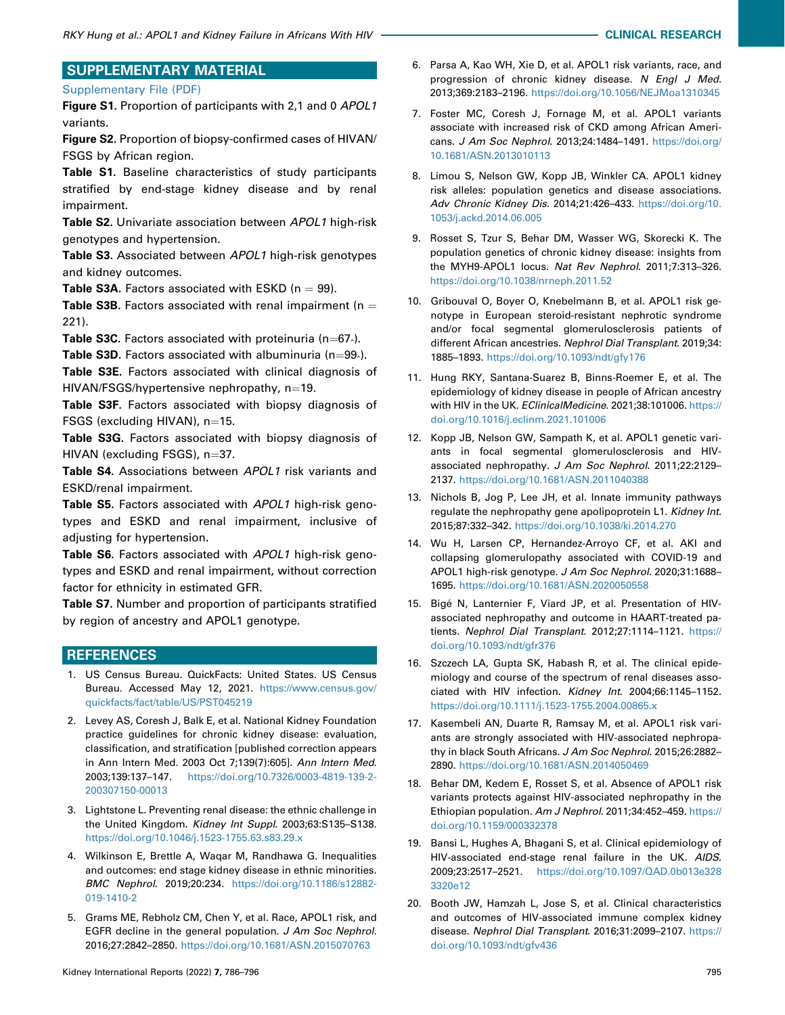# SUPPLEMENTARY MATERIAL

### [Supplementary File \(PDF\)](https://doi.org/10.1016/j.ekir.2022.01.1054)

Figure S1. Proportion of participants with 2,1 and 0 APOL1 variants.

Figure S2. Proportion of biopsy-confirmed cases of HIVAN/ FSGS by African region.

Table S1. Baseline characteristics of study participants stratified by end-stage kidney disease and by renal impairment.

**Table S2.** Univariate association between APOL1 high-risk genotypes and hypertension.

Table S3. Associated between APOL1 high-risk genotypes and kidney outcomes.

**Table S3A.** Factors associated with ESKD ( $n = 99$ ).

Table S3B. Factors associated with renal impairment ( $n =$ 221).

**Table S3C.** Factors associated with proteinuria (n=67 $\lambda$ ).

**Table S3D.** Factors associated with albuminuria (n $=$ 99 $\cdot$ ).

Table S3E. Factors associated with clinical diagnosis of  $HIVAN/FSGS/hypertensive nephropathy, n=19.$ 

Table S3F. Factors associated with biopsy diagnosis of FSGS (excluding HIVAN),  $n=15$ .

Table S3G. Factors associated with biopsy diagnosis of  $HIVAN$  (excluding FSGS),  $n=37$ .

Table S4. Associations between APOL1 risk variants and ESKD/renal impairment.

Table S5. Factors associated with APOL1 high-risk genotypes and ESKD and renal impairment, inclusive of adjusting for hypertension.

Table S6. Factors associated with APOL1 high-risk genotypes and ESKD and renal impairment, without correction factor for ethnicity in estimated GFR.

Table S7. Number and proportion of participants stratified by region of ancestry and APOL1 genotype.

# **REFERENCES**

- <span id="page-10-0"></span>1. US Census Bureau. QuickFacts: United States. US Census Bureau. Accessed May 12, 2021. [https://www.census.gov/](https://www.census.gov/quickfacts/fact/table/US/PST045219) [quickfacts/fact/table/US/PST045219](https://www.census.gov/quickfacts/fact/table/US/PST045219)
- <span id="page-10-1"></span>2. Levey AS, Coresh J, Balk E, et al. National Kidney Foundation practice guidelines for chronic kidney disease: evaluation, classification, and stratification [published correction appears in Ann Intern Med. 2003 Oct 7;139(7):605]. Ann Intern Med. 2003;139:137–147. [https://doi.org/10.7326/0003-4819-139-2-](https://doi.org/10.7326/0003-4819-139-2-200307150-00013) [200307150-00013](https://doi.org/10.7326/0003-4819-139-2-200307150-00013)
- <span id="page-10-2"></span>3. Lightstone L. Preventing renal disease: the ethnic challenge in the United Kingdom. Kidney Int Suppl. 2003;63:S135–S138. <https://doi.org/10.1046/j.1523-1755.63.s83.29.x>
- <span id="page-10-3"></span>4. Wilkinson E, Brettle A, Waqar M, Randhawa G. Inequalities and outcomes: end stage kidney disease in ethnic minorities. BMC Nephrol. 2019;20:234. [https://doi.org/10.1186/s12882-](https://doi.org/10.1186/s12882-019-1410-2) [019-1410-2](https://doi.org/10.1186/s12882-019-1410-2)
- <span id="page-10-4"></span>5. Grams ME, Rebholz CM, Chen Y, et al. Race, APOL1 risk, and EGFR decline in the general population. J Am Soc Nephrol. 2016;27:2842–2850. <https://doi.org/10.1681/ASN.2015070763>
- 6. Parsa A, Kao WH, Xie D, et al. APOL1 risk variants, race, and progression of chronic kidney disease. N Engl J Med. 2013;369:2183–2196. <https://doi.org/10.1056/NEJMoa1310345>
- 7. Foster MC, Coresh J, Fornage M, et al. APOL1 variants associate with increased risk of CKD among African Americans. J Am Soc Nephrol. 2013;24:1484–1491. [https://doi.org/](https://doi.org/10.1681/ASN.2013010113) [10.1681/ASN.2013010113](https://doi.org/10.1681/ASN.2013010113)
- <span id="page-10-5"></span>8. Limou S, Nelson GW, Kopp JB, Winkler CA. APOL1 kidney risk alleles: population genetics and disease associations. Adv Chronic Kidney Dis. 2014;21:426–433. [https://doi.org/10.](https://doi.org/10.1053/j.ackd.2014.06.005) [1053/j.ackd.2014.06.005](https://doi.org/10.1053/j.ackd.2014.06.005)
- <span id="page-10-6"></span>9. Rosset S, Tzur S, Behar DM, Wasser WG, Skorecki K. The population genetics of chronic kidney disease: insights from the MYH9-APOL1 locus. Nat Rev Nephrol. 2011;7:313–326. <https://doi.org/10.1038/nrneph.2011.52>
- <span id="page-10-7"></span>10. Gribouval O, Boyer O, Knebelmann B, et al. APOL1 risk genotype in European steroid-resistant nephrotic syndrome and/or focal segmental glomerulosclerosis patients of different African ancestries. Nephrol Dial Transplant. 2019;34: 1885–1893. <https://doi.org/10.1093/ndt/gfy176>
- <span id="page-10-8"></span>11. Hung RKY, Santana-Suarez B, Binns-Roemer E, et al. The epidemiology of kidney disease in people of African ancestry with HIV in the UK. EClinicalMedicine. 2021;38:101006. [https://](https://doi.org/10.1016/j.eclinm.2021.101006) [doi.org/10.1016/j.eclinm.2021.101006](https://doi.org/10.1016/j.eclinm.2021.101006)
- <span id="page-10-9"></span>12. Kopp JB, Nelson GW, Sampath K, et al. APOL1 genetic variants in focal segmental glomerulosclerosis and HIVassociated nephropathy. J Am Soc Nephrol. 2011;22:2129– 2137. <https://doi.org/10.1681/ASN.2011040388>
- <span id="page-10-10"></span>13. Nichols B, Jog P, Lee JH, et al. Innate immunity pathways regulate the nephropathy gene apolipoprotein L1. Kidney Int. 2015;87:332–342. <https://doi.org/10.1038/ki.2014.270>
- <span id="page-10-11"></span>14. Wu H, Larsen CP, Hernandez-Arroyo CF, et al. AKI and collapsing glomerulopathy associated with COVID-19 and APOL1 high-risk genotype. J Am Soc Nephrol. 2020;31:1688– 1695. <https://doi.org/10.1681/ASN.2020050558>
- <span id="page-10-12"></span>15. Bigé N, Lanternier F, Viard JP, et al. Presentation of HIVassociated nephropathy and outcome in HAART-treated patients. Nephrol Dial Transplant. 2012;27:1114–1121. [https://](https://doi.org/10.1093/ndt/gfr376) [doi.org/10.1093/ndt/gfr376](https://doi.org/10.1093/ndt/gfr376)
- <span id="page-10-13"></span>16. Szczech LA, Gupta SK, Habash R, et al. The clinical epidemiology and course of the spectrum of renal diseases associated with HIV infection. Kidney Int. 2004;66:1145–1152. <https://doi.org/10.1111/j.1523-1755.2004.00865.x>
- <span id="page-10-14"></span>17. Kasembeli AN, Duarte R, Ramsay M, et al. APOL1 risk variants are strongly associated with HIV-associated nephropathy in black South Africans. J Am Soc Nephrol. 2015;26:2882-2890. <https://doi.org/10.1681/ASN.2014050469>
- <span id="page-10-15"></span>18. Behar DM, Kedem E, Rosset S, et al. Absence of APOL1 risk variants protects against HIV-associated nephropathy in the Ethiopian population. Am J Nephrol. 2011;34:452–459. [https://](https://doi.org/10.1159/000332378) [doi.org/10.1159/000332378](https://doi.org/10.1159/000332378)
- <span id="page-10-16"></span>19. Bansi L, Hughes A, Bhagani S, et al. Clinical epidemiology of HIV-associated end-stage renal failure in the UK. AIDS. 2009;23:2517–2521. [https://doi.org/10.1097/QAD.0b013e328](https://doi.org/10.1097/QAD.0b013e3283320e12) [3320e12](https://doi.org/10.1097/QAD.0b013e3283320e12)
- <span id="page-10-17"></span>20. Booth JW, Hamzah L, Jose S, et al. Clinical characteristics and outcomes of HIV-associated immune complex kidney disease. Nephrol Dial Transplant. 2016;31:2099–2107. [https://](https://doi.org/10.1093/ndt/gfv436) [doi.org/10.1093/ndt/gfv436](https://doi.org/10.1093/ndt/gfv436)